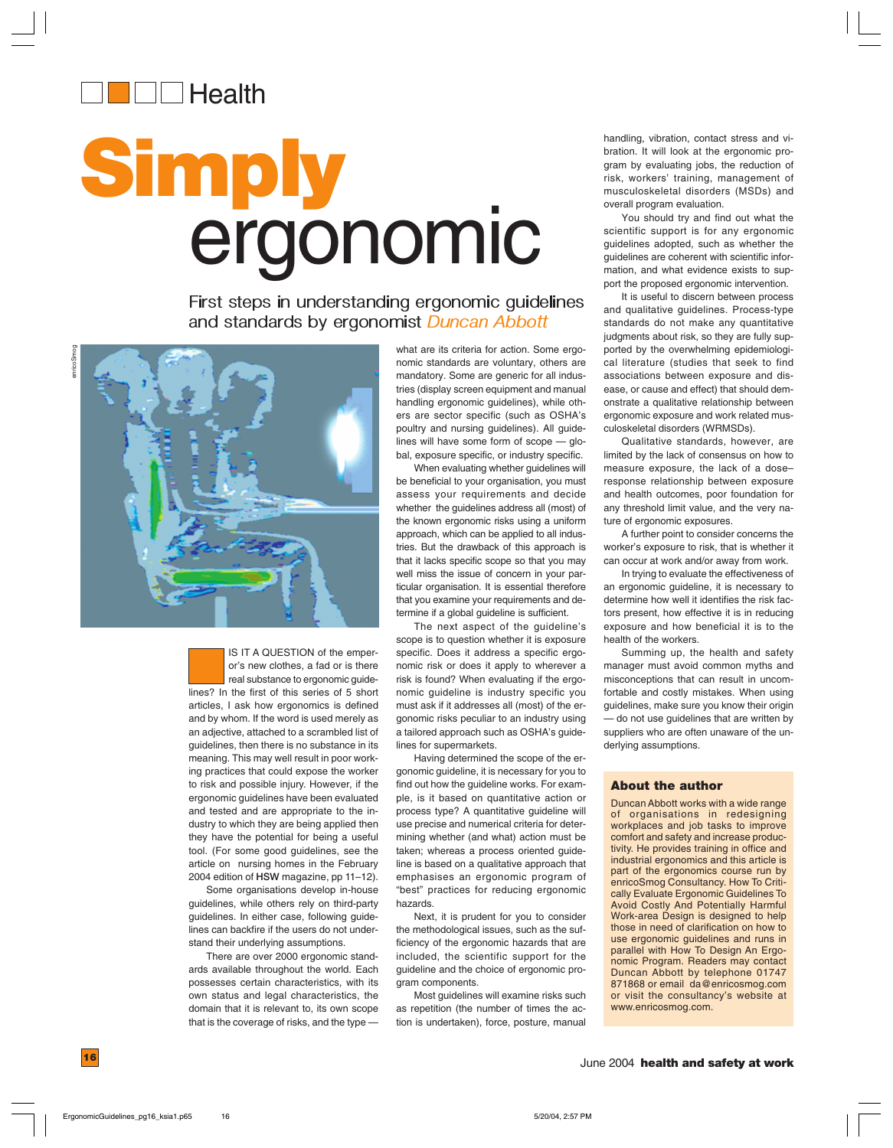

# **Simply** ergonomic

First steps in understanding ergonomic guidelines and standards by ergonomist *Duncan Abbott* 



IS IT A QUESTION of the emperor's new clothes, a fad or is there real substance to ergonomic guidelines? In the first of this series of 5 short articles, I ask how ergonomics is defined and by whom. If the word is used merely as an adjective, attached to a scrambled list of guidelines, then there is no substance in its meaning. This may well result in poor working practices that could expose the worker to risk and possible injury. However, if the ergonomic guidelines have been evaluated and tested and are appropriate to the industry to which they are being applied then they have the potential for being a useful tool. (For some good guidelines, see the article on nursing homes in the February 2004 edition of **HSW** magazine, pp 11–12).

Some organisations develop in-house guidelines, while others rely on third-party guidelines. In either case, following guidelines can backfire if the users do not understand their underlying assumptions.

There are over 2000 ergonomic standards available throughout the world. Each possesses certain characteristics, with its own status and legal characteristics, the domain that it is relevant to, its own scope that is the coverage of risks, and the type — what are its criteria for action. Some ergonomic standards are voluntary, others are mandatory. Some are generic for all industries (display screen equipment and manual handling ergonomic guidelines), while others are sector specific (such as OSHA's poultry and nursing guidelines). All guidelines will have some form of scope — global, exposure specific, or industry specific.

When evaluating whether guidelines will be beneficial to your organisation, you must assess your requirements and decide whether the guidelines address all (most) of the known ergonomic risks using a uniform approach, which can be applied to all industries. But the drawback of this approach is that it lacks specific scope so that you may well miss the issue of concern in your particular organisation. It is essential therefore that you examine your requirements and determine if a global guideline is sufficient.

The next aspect of the guideline's scope is to question whether it is exposure specific. Does it address a specific ergonomic risk or does it apply to wherever a risk is found? When evaluating if the ergonomic guideline is industry specific you must ask if it addresses all (most) of the ergonomic risks peculiar to an industry using a tailored approach such as OSHA's guidelines for supermarkets.

Having determined the scope of the ergonomic guideline, it is necessary for you to find out how the guideline works. For example, is it based on quantitative action or process type? A quantitative guideline will use precise and numerical criteria for determining whether (and what) action must be taken; whereas a process oriented guideline is based on a qualitative approach that emphasises an ergonomic program of "best" practices for reducing ergonomic hazards.

Next, it is prudent for you to consider the methodological issues, such as the sufficiency of the ergonomic hazards that are included, the scientific support for the guideline and the choice of ergonomic program components.

Most guidelines will examine risks such as repetition (the number of times the action is undertaken), force, posture, manual handling, vibration, contact stress and vibration. It will look at the ergonomic program by evaluating jobs, the reduction of risk, workers' training, management of musculoskeletal disorders (MSDs) and overall program evaluation.

You should try and find out what the scientific support is for any ergonomic guidelines adopted, such as whether the guidelines are coherent with scientific information, and what evidence exists to support the proposed ergonomic intervention.

It is useful to discern between process and qualitative guidelines. Process-type standards do not make any quantitative judgments about risk, so they are fully supported by the overwhelming epidemiological literature (studies that seek to find associations between exposure and disease, or cause and effect) that should demonstrate a qualitative relationship between ergonomic exposure and work related musculoskeletal disorders (WRMSDs).

Qualitative standards, however, are limited by the lack of consensus on how to measure exposure, the lack of a dose– response relationship between exposure and health outcomes, poor foundation for any threshold limit value, and the very nature of ergonomic exposures.

A further point to consider concerns the worker's exposure to risk, that is whether it can occur at work and/or away from work.

In trying to evaluate the effectiveness of an ergonomic guideline, it is necessary to determine how well it identifies the risk factors present, how effective it is in reducing exposure and how beneficial it is to the health of the workers.

Summing up, the health and safety manager must avoid common myths and misconceptions that can result in uncomfortable and costly mistakes. When using guidelines, make sure you know their origin — do not use guidelines that are written by suppliers who are often unaware of the underlying assumptions.

#### **About the author**

Duncan Abbott works with a wide range of organisations in redesigning workplaces and job tasks to improve comfort and safety and increase productivity. He provides training in office and industrial ergonomics and this article is part of the ergonomics course run by enricoSmog Consultancy. How To Critically Evaluate Ergonomic Guidelines To Avoid Costly And Potentially Harmful Work-area Design is designed to help those in need of clarification on how to use ergonomic guidelines and runs in parallel with How To Design An Ergonomic Program. Readers may contact Duncan Abbott by telephone 01747 871868 or email da@enricosmog.com or visit the consultancy's website at www.enricosmog.com.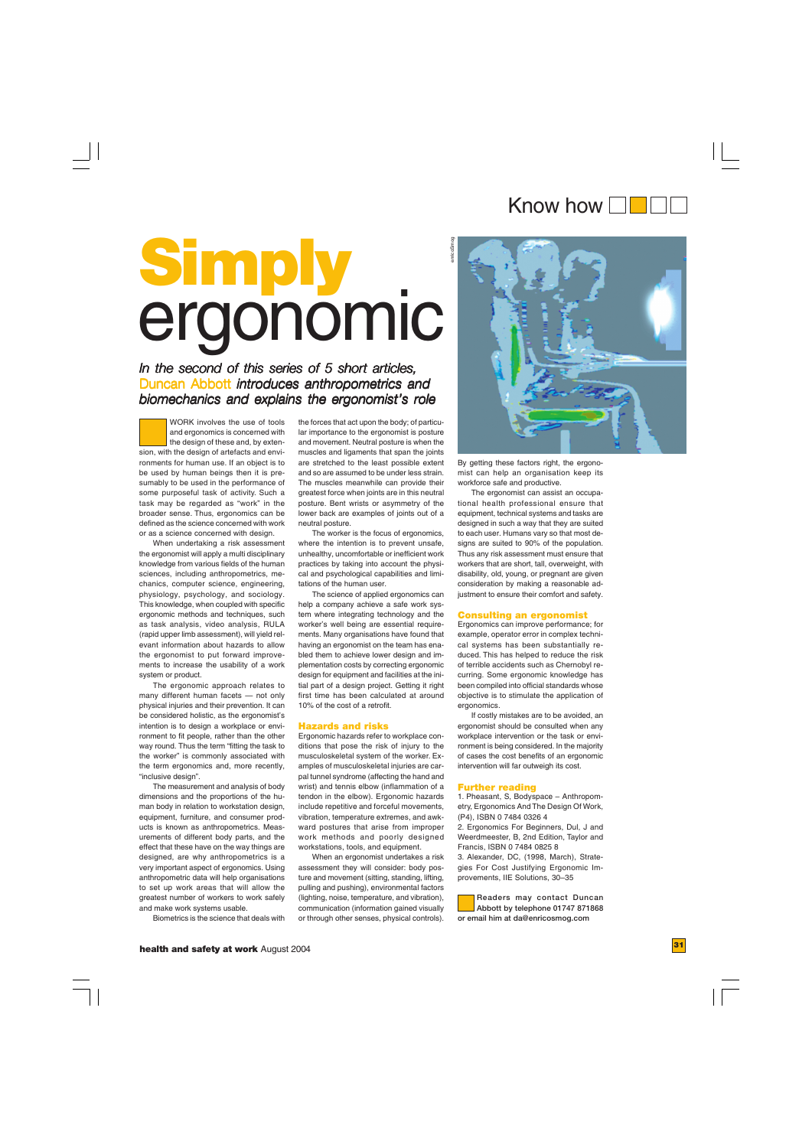### Know how **Fight**

# **Simply** ergonomic

#### *In the second of this series of 5 short articles, In the second of this of 5 short articles,* Duncan Abbott *introduces anthropometrics and biomechanics and explains the ergonomist's role*

WORK involves the use of tools and ergonomics is concerned with the design of these and, by extension, with the design of artefacts and environments for human use. If an object is to be used by human beings then it is presumably to be used in the performance of some purposeful task of activity. Such a task may be regarded as "work" in the broader sense. Thus, ergonomics can be defined as the science concerned with work or as a science concerned with design.

When undertaking a risk assessment the ergonomist will apply a multi disciplinary knowledge from various fields of the human sciences, including anthropometrics, mechanics, computer science, engineering, physiology, psychology, and sociology. This knowledge, when coupled with specific ergonomic methods and techniques, such as task analysis, video analysis, RULA (rapid upper limb assessment), will yield relevant information about hazards to allow the ergonomist to put forward improvements to increase the usability of a work system or product.

The ergonomic approach relates to many different human facets — not only physical injuries and their prevention. It can be considered holistic, as the ergonomist's intention is to design a workplace or environment to fit people, rather than the other way round. Thus the term "fitting the task to the worker" is commonly associated with the term ergonomics and, more recently, "inclusive design".

The measurement and analysis of body dimensions and the proportions of the human body in relation to workstation design, equipment, furniture, and consumer products is known as anthropometrics. Measurements of different body parts, and the effect that these have on the way things are designed, are why anthropometrics is a very important aspect of ergonomics. Using anthropometric data will help organisations to set up work areas that will allow the greatest number of workers to work safely and make work systems usable.

Biometrics is the science that deals with

the forces that act upon the body; of particular importance to the ergonomist is posture and movement. Neutral posture is when the muscles and ligaments that span the joints are stretched to the least possible extent and so are assumed to be under less strain. The muscles meanwhile can provide their greatest force when joints are in this neutral posture. Bent wrists or asymmetry of the lower back are examples of joints out of a neutral posture.

The worker is the focus of ergonomics, where the intention is to prevent unsafe, unhealthy, uncomfortable or inefficient work practices by taking into account the physical and psychological capabilities and limitations of the human user.

The science of applied ergonomics can help a company achieve a safe work system where integrating technology and the worker's well being are essential requirements. Many organisations have found that having an ergonomist on the team has enabled them to achieve lower design and implementation costs by correcting ergonomic design for equipment and facilities at the initial part of a design project. Getting it right first time has been calculated at around 10% of the cost of a retrofit.

#### **Hazards and risks**

Ergonomic hazards refer to workplace conditions that pose the risk of injury to the musculoskeletal system of the worker. Examples of musculoskeletal injuries are carpal tunnel syndrome (affecting the hand and wrist) and tennis elbow (inflammation of a tendon in the elbow). Ergonomic hazards include repetitive and forceful movements, vibration, temperature extremes, and awkward postures that arise from improper work methods and poorly designed workstations, tools, and equipment.

When an ergonomist undertakes a risk assessment they will consider: body posture and movement (sitting, standing, lifting, pulling and pushing), environmental factors (lighting, noise, temperature, and vibration), communication (information gained visually or through other senses, physical controls).



By getting these factors right, the ergonomist can help an organisation keep its workforce safe and productive.

The ergonomist can assist an occupational health professional ensure that equipment, technical systems and tasks are designed in such a way that they are suited to each user. Humans vary so that most designs are suited to 90% of the population. Thus any risk assessment must ensure that workers that are short, tall, overweight, with disability, old, young, or pregnant are given consideration by making a reasonable adjustment to ensure their comfort and safety.

#### **Consulting an ergonomist**

Ergonomics can improve performance; for example, operator error in complex technical systems has been substantially reduced. This has helped to reduce the risk of terrible accidents such as Chernobyl recurring. Some ergonomic knowledge has been compiled into official standards whose objective is to stimulate the application of ergonomics.

If costly mistakes are to be avoided, an ergonomist should be consulted when any workplace intervention or the task or environment is being considered. In the majority of cases the cost benefits of an ergonomic intervention will far outweigh its cost.

#### **Further reading**

1. Pheasant, S, Bodyspace – Anthropometry, Ergonomics And The Design Of Work, (P4), ISBN 0 7484 0326 4

2. Ergonomics For Beginners, Dul, J and Weerdmeester, B, 2nd Edition, Taylor and Francis, ISBN 0 7484 0825 8

3. Alexander, DC, (1998, March), Strategies For Cost Justifying Ergonomic Improvements, IIE Solutions, 30–35

**Readers may contact Duncan Abbott by telephone 01747 871868 or email him at da@enricosmog.com**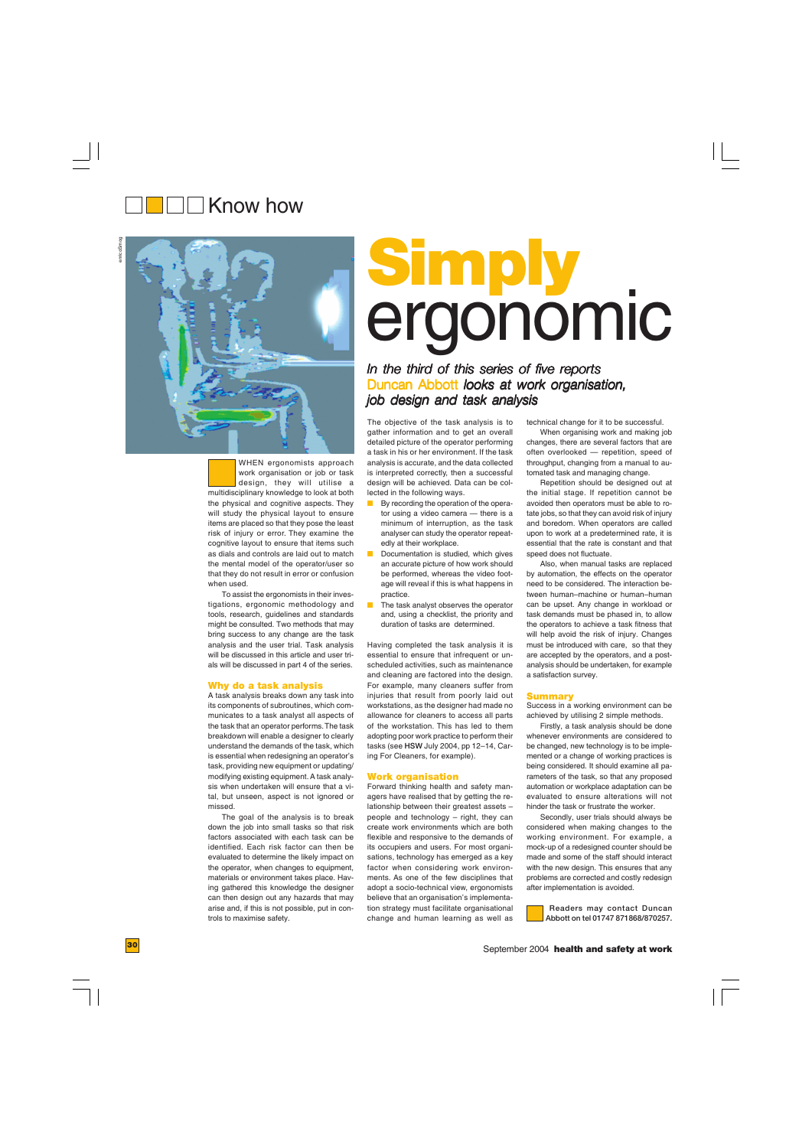### $\Box\Box$  Know how



WHEN ergonomists approach work organisation or job or task design, they will utilise a multidisciplinary knowledge to look at both the physical and cognitive aspects. They will study the physical layout to ensure items are placed so that they pose the least risk of injury or error. They examine the cognitive layout to ensure that items such as dials and controls are laid out to match the mental model of the operator/user so that they do not result in error or confusion when used.

To assist the ergonomists in their investigations, ergonomic methodology and tools, research, guidelines and standards might be consulted. Two methods that may bring success to any change are the task analysis and the user trial. Task analysis will be discussed in this article and user trials will be discussed in part 4 of the series.

#### **Why do a task analysis**

A task analysis breaks down any task into its components of subroutines, which communicates to a task analyst all aspects of the task that an operator performs. The task breakdown will enable a designer to clearly understand the demands of the task, which is essential when redesigning an operator's task, providing new equipment or updating/ modifying existing equipment. A task analysis when undertaken will ensure that a vital, but unseen, aspect is not ignored or missed.

The goal of the analysis is to break down the job into small tasks so that risk factors associated with each task can be identified. Each risk factor can then be evaluated to determine the likely impact on the operator, when changes to equipment, materials or environment takes place. Having gathered this knowledge the designer can then design out any hazards that may arise and, if this is not possible, put in controls to maximise safety.

# **Simply** ergonomic

#### *In the third of this series of five reports* Duncan Abbott *looks at work organisation*, *job design and task analysis*

The objective of the task analysis is to gather information and to get an overall detailed picture of the operator performing a task in his or her environment. If the task analysis is accurate, and the data collected is interpreted correctly, then a successful design will be achieved. Data can be collected in the following ways.

- By recording the operation of the operator using a video camera — there is a minimum of interruption, as the task analyser can study the operator repeatedly at their workplace.
- Documentation is studied, which gives an accurate picture of how work should be performed, whereas the video footage will reveal if this is what happens in practice.
- The task analyst observes the operator and, using a checklist, the priority and duration of tasks are determined.

Having completed the task analysis it is essential to ensure that infrequent or unscheduled activities, such as maintenance and cleaning are factored into the design. For example, many cleaners suffer from injuries that result from poorly laid out workstations, as the designer had made no allowance for cleaners to access all parts of the workstation. This has led to them adopting poor work practice to perform their tasks (see **HSW** July 2004, pp 12–14, Caring For Cleaners, for example).

#### **Work organisation**

Forward thinking health and safety managers have realised that by getting the relationship between their greatest assets – people and technology – right, they can create work environments which are both flexible and responsive to the demands of its occupiers and users. For most organisations, technology has emerged as a key factor when considering work environments. As one of the few disciplines that adopt a socio-technical view, ergonomists believe that an organisation's implementation strategy must facilitate organisational change and human learning as well as

technical change for it to be successful.

When organising work and making job changes, there are several factors that are often overlooked — repetition, speed of throughput, changing from a manual to automated task and managing change.

Repetition should be designed out at the initial stage. If repetition cannot be avoided then operators must be able to rotate jobs, so that they can avoid risk of injury and boredom. When operators are called upon to work at a predetermined rate, it is essential that the rate is constant and that speed does not fluctuate.

Also, when manual tasks are replaced by automation, the effects on the operator need to be considered. The interaction between human–machine or human–human can be upset. Any change in workload or task demands must be phased in, to allow the operators to achieve a task fitness that will help avoid the risk of injury. Changes must be introduced with care, so that they are accepted by the operators, and a postanalysis should be undertaken, for example a satisfaction survey.

#### **Summary**

Success in a working environment can be achieved by utilising 2 simple methods.

Firstly, a task analysis should be done whenever environments are considered to be changed, new technology is to be implemented or a change of working practices is being considered. It should examine all parameters of the task, so that any proposed automation or workplace adaptation can be evaluated to ensure alterations will not hinder the task or frustrate the worker.

Secondly, user trials should always be considered when making changes to the working environment. For example, a mock-up of a redesigned counter should be made and some of the staff should interact with the new design. This ensures that any problems are corrected and costly redesign after implementation is avoided.

 **Readers may contact Duncan Abbott on tel 01747 871868/870257.**